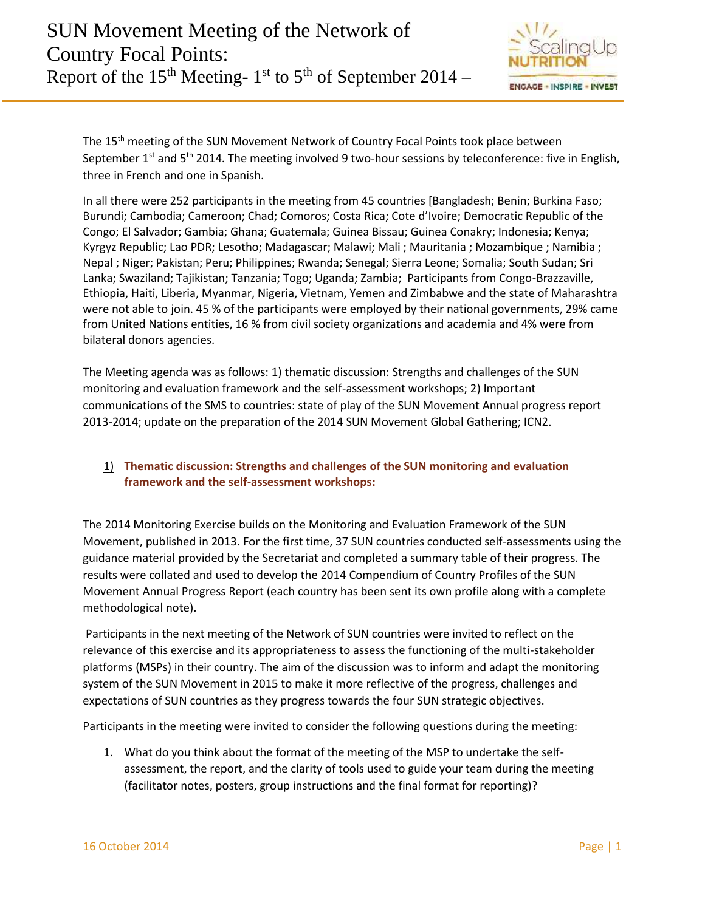

The 15<sup>th</sup> meeting of the SUN Movement Network of Country Focal Points took place between September 1<sup>st</sup> and 5<sup>th</sup> 2014. The meeting involved 9 two-hour sessions by teleconference: five in English, three in French and one in Spanish.

In all there were 252 participants in the meeting from 45 countries [Bangladesh; Benin; Burkina Faso; Burundi; Cambodia; Cameroon; Chad; Comoros; Costa Rica; Cote d'Ivoire; Democratic Republic of the Congo; El Salvador; Gambia; Ghana; Guatemala; Guinea Bissau; Guinea Conakry; Indonesia; Kenya; Kyrgyz Republic; Lao PDR; Lesotho; Madagascar; Malawi; Mali ; Mauritania ; Mozambique ; Namibia ; Nepal ; Niger; Pakistan; Peru; Philippines; Rwanda; Senegal; Sierra Leone; Somalia; South Sudan; Sri Lanka; Swaziland; Tajikistan; Tanzania; Togo; Uganda; Zambia; Participants from Congo-Brazzaville, Ethiopia, Haiti, Liberia, Myanmar, Nigeria, Vietnam, Yemen and Zimbabwe and the state of Maharashtra were not able to join. 45 % of the participants were employed by their national governments, 29% came from United Nations entities, 16 % from civil society organizations and academia and 4% were from bilateral donors agencies.

The Meeting agenda was as follows: 1) thematic discussion: Strengths and challenges of the SUN monitoring and evaluation framework and the self-assessment workshops; 2) Important communications of the SMS to countries: state of play of the SUN Movement Annual progress report 2013-2014; update on the preparation of the 2014 SUN Movement Global Gathering; ICN2.

1) **Thematic discussion: Strengths and challenges of the SUN monitoring and evaluation framework and the self-assessment workshops:**

The 2014 Monitoring Exercise builds on the Monitoring and Evaluation Framework of the SUN Movement, published in 2013. For the first time, 37 SUN countries conducted self-assessments using the guidance material provided by the Secretariat and completed a summary table of their progress. The results were collated and used to develop the 2014 Compendium of Country Profiles of the SUN Movement Annual Progress Report (each country has been sent its own profile along with a complete methodological note).

Participants in the next meeting of the Network of SUN countries were invited to reflect on the relevance of this exercise and its appropriateness to assess the functioning of the multi-stakeholder platforms (MSPs) in their country. The aim of the discussion was to inform and adapt the monitoring system of the SUN Movement in 2015 to make it more reflective of the progress, challenges and expectations of SUN countries as they progress towards the four SUN strategic objectives.

Participants in the meeting were invited to consider the following questions during the meeting:

1. What do you think about the format of the meeting of the MSP to undertake the self assessment, the report, and the clarity of tools used to guide your team during the meeting (facilitator notes, posters, group instructions and the final format for reporting)?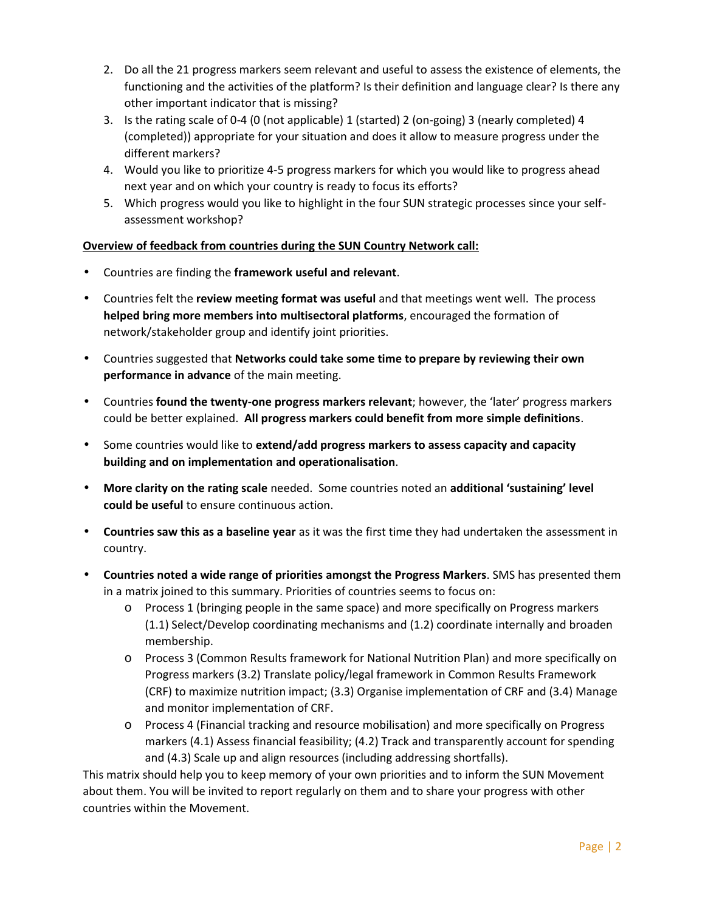- 2. Do all the 21 progress markers seem relevant and useful to assess the existence of elements, the functioning and the activities of the platform? Is their definition and language clear? Is there any other important indicator that is missing?
- 3. Is the rating scale of 0-4 (0 (not applicable) 1 (started) 2 (on-going) 3 (nearly completed) 4 (completed)) appropriate for your situation and does it allow to measure progress under the different markers?
- 4. Would you like to prioritize 4-5 progress markers for which you would like to progress ahead next year and on which your country is ready to focus its efforts?
- 5. Which progress would you like to highlight in the four SUN strategic processes since your self assessment workshop?

# **Overview of feedback from countries during the SUN Country Network call:**

- Countries are finding the **framework useful and relevant**.
- Countries felt the **review meeting format was useful** and that meetings went well. The process **helped bring more members into multisectoral platforms**, encouraged the formation of network/stakeholder group and identify joint priorities.
- Countries suggested that **Networks could take some time to prepare by reviewing their own performance in advance** of the main meeting.
- Countries **found the twenty-one progress markers relevant**; however, the 'later' progress markers could be better explained. **All progress markers could benefit from more simple definitions**.
- Some countries would like to **extend/add progress markers to assess capacity and capacity building and on implementation and operationalisation**.
- **More clarity on the rating scale** needed. Some countries noted an **additional 'sustaining' level could be useful** to ensure continuous action.
- **Countries saw this as a baseline year** as it was the first time they had undertaken the assessment in country.
- **Countries noted a wide range of priorities amongst the Progress Markers**. SMS has presented them in a matrix joined to this summary. Priorities of countries seems to focus on:
	- o Process 1 (bringing people in the same space) and more specifically on Progress markers (1.1) Select/Develop coordinating mechanisms and (1.2) coordinate internally and broaden membership.
	- o Process 3 (Common Results framework for National Nutrition Plan) and more specifically on Progress markers (3.2) Translate policy/legal framework in Common Results Framework (CRF) to maximize nutrition impact; (3.3) Organise implementation of CRF and (3.4) Manage and monitor implementation of CRF.
	- o Process 4 (Financial tracking and resource mobilisation) and more specifically on Progress markers (4.1) Assess financial feasibility; (4.2) Track and transparently account for spending and (4.3) Scale up and align resources (including addressing shortfalls).

This matrix should help you to keep memory of your own priorities and to inform the SUN Movement about them. You will be invited to report regularly on them and to share your progress with other countries within the Movement.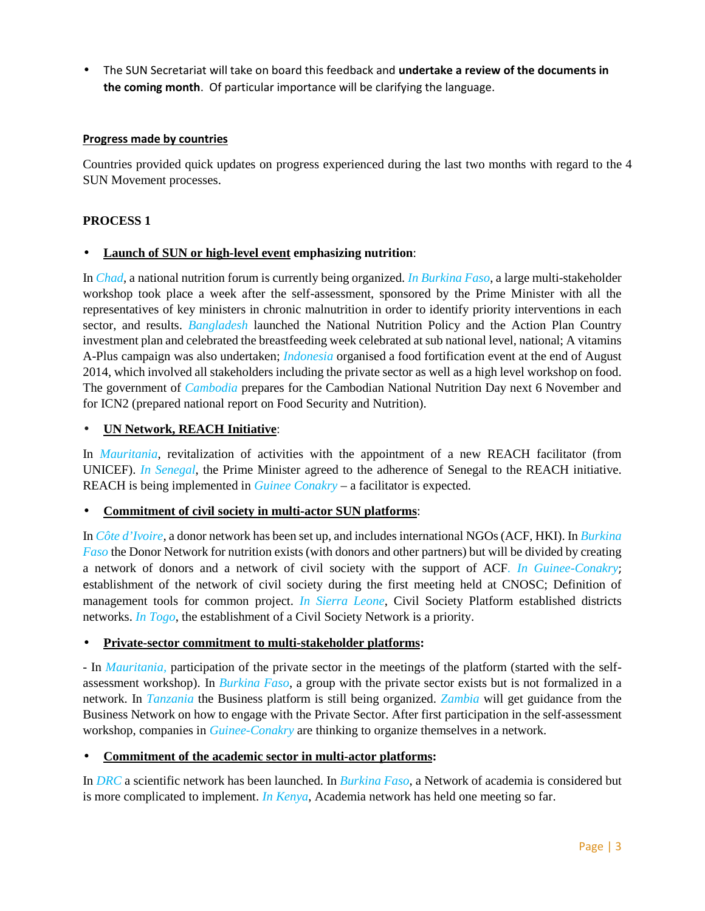The SUN Secretariat will take on board this feedback and **undertake a review of the documents in the coming month**. Of particular importance will be clarifying the language.

# **Progress made by countries**

Countries provided quick updates on progress experienced during the last two months with regard to the 4 SUN Movement processes.

# **PROCESS 1**

# **Launch of SUN or high-level event emphasizing nutrition**:

In *Chad*, a national nutrition forum is currently being organized. *In Burkina Faso*, a large multi-stakeholder workshop took place a week after the self-assessment, sponsored by the Prime Minister with all the representatives of key ministers in chronic malnutrition in order to identify priority interventions in each sector, and results. **Bangladesh** launched the National Nutrition Policy and the Action Plan Country investment plan and celebrated the breastfeeding week celebrated at sub national level, national; A vitamins A-Plus campaign was also undertaken; *Indonesia* organised a food fortification event at the end of August 2014, which involved all stakeholders including the private sector as well as a high level workshop on food. The government of *Cambodia* prepares for the Cambodian National Nutrition Day next 6 November and for ICN2 (prepared national report on Food Security and Nutrition).

# **UN Network, REACH Initiative**:

In *Mauritania*, revitalization of activities with the appointment of a new REACH facilitator (from UNICEF). *In Senegal*, the Prime Minister agreed to the adherence of Senegal to the REACH initiative. REACH is being implemented in *Guinee Conakry* – a facilitator is expected.

# **Commitment of civil society in multi-actor SUN platforms**:

In *Côte d'Ivoire,* a donor network has been set up, and includes international NGOs (ACF, HKI). In *Burkina Faso* the Donor Network for nutrition exists (with donors and other partners) but will be divided by creating a network of donors and a network of civil society with the support of ACF*. In Guinee-Conakry*; establishment of the network of civil society during the first meeting held at CNOSC; Definition of management tools for common project. *In Sierra Leone*, Civil Society Platform established districts networks. *In Togo*, the establishment of a Civil Society Network is a priority.

# **Private-sector commitment to multi-stakeholder platforms:**

- In *Mauritania,* participation of the private sector in the meetings of the platform (started with the self assessment workshop). In *Burkina Faso*, a group with the private sector exists but is not formalized in a network. In *Tanzania* the Business platform is still being organized. *Zambia* will get guidance from the Business Network on how to engage with the Private Sector. After first participation in the self-assessment workshop, companies in *Guinee-Conakry* are thinking to organize themselves in a network.

# **Commitment of the academic sector in multi-actor platforms:**

In *DRC* a scientific network has been launched. In *Burkina Faso*, a Network of academia is considered but is more complicated to implement. *In Kenya*, Academia network has held one meeting so far.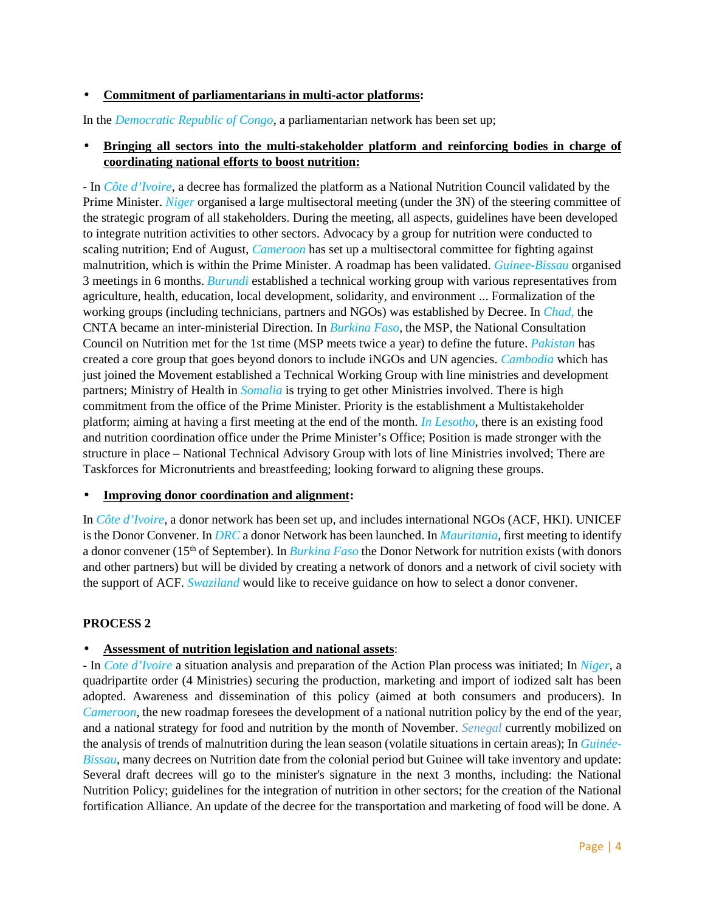# **Commitment of parliamentarians in multi-actor platforms:**

In the *Democratic Republic of Congo*, a parliamentarian network has been set up;

# **Bringing all sectors into the multi-stakeholder platform and reinforcing bodies in charge of coordinating national efforts to boost nutrition:**

- In *Côte d'Ivoire*, a decree has formalized the platform as a National Nutrition Council validated by the Prime Minister. *Niger* organised a large multisectoral meeting (under the 3N) of the steering committee of the strategic program of all stakeholders. During the meeting, all aspects, guidelines have been developed to integrate nutrition activities to other sectors. Advocacy by a group for nutrition were conducted to scaling nutrition; End of August, *Cameroon* has set up a multisectoral committee for fighting against malnutrition, which is within the Prime Minister. A roadmap has been validated. *Guinee-Bissau* organised 3 meetings in 6 months. *Burundi* established a technical working group with various representatives from agriculture, health, education, local development, solidarity, and environment ... Formalization of the working groups (including technicians, partners and NGOs) was established by Decree. In *Chad,* the CNTA became an inter-ministerial Direction. In *Burkina Faso*, the MSP, the National Consultation Council on Nutrition met for the 1st time (MSP meets twice a year) to define the future. *Pakistan* has created a core group that goes beyond donors to include iNGOs and UN agencies. *Cambodia* which has just joined the Movement established a Technical Working Group with line ministries and development partners; Ministry of Health in *Somalia* is trying to get other Ministries involved. There is high commitment from the office of the Prime Minister. Priority is the establishment a Multistakeholder platform; aiming at having a first meeting at the end of the month. *In Lesotho*, there is an existing food and nutrition coordination office under the Prime Minister's Office; Position is made stronger with the structure in place – National Technical Advisory Group with lots of line Ministries involved; There are Taskforces for Micronutrients and breastfeeding; looking forward to aligning these groups.

# **Improving donor coordination and alignment:**

In *Côte d'Ivoire,* a donor network has been set up, and includes international NGOs (ACF, HKI). UNICEF is the Donor Convener. In *DRC* a donor Network has been launched. In *Mauritania*, first meeting to identify a donor convener (15th of September). In *Burkina Faso* the Donor Network for nutrition exists (with donors and other partners) but will be divided by creating a network of donors and a network of civil society with the support of ACF. *Swaziland* would like to receive guidance on how to select a donor convener.

# **PROCESS 2**

# **Assessment of nutrition legislation and national assets**:

- In *Cote d'Ivoire* a situation analysis and preparation of the Action Plan process was initiated; In *Niger*, a quadripartite order (4 Ministries) securing the production, marketing and import of iodized salt has been adopted. Awareness and dissemination of this policy (aimed at both consumers and producers). In *Cameroon*, the new roadmap foresees the development of a national nutrition policy by the end of the year, and a national strategy for food and nutrition by the month of November. *Senegal* currently mobilized on the analysis of trends of malnutrition during the lean season (volatile situations in certain areas); In *Guinée- Bissau*, many decrees on Nutrition date from the colonial period but Guinee will take inventory and update: Several draft decrees will go to the minister's signature in the next 3 months, including: the National Nutrition Policy; guidelines for the integration of nutrition in other sectors; for the creation of the National fortification Alliance. An update of the decree for the transportation and marketing of food will be done. A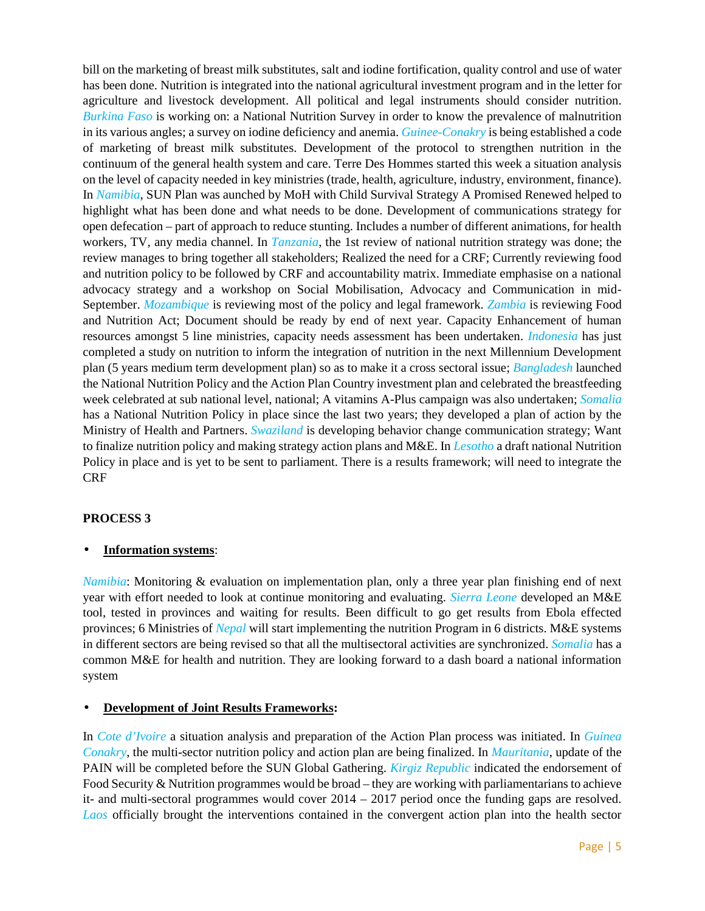bill on the marketing of breast milk substitutes, salt and iodine fortification, quality control and use of water has been done. Nutrition is integrated into the national agricultural investment program and in the letter for agriculture and livestock development. All political and legal instruments should consider nutrition. *Burkina Faso* is working on: a National Nutrition Survey in order to know the prevalence of malnutrition in its various angles; a survey on iodine deficiency and anemia. *Guinee-Conakry* is being established a code of marketing of breast milk substitutes. Development of the protocol to strengthen nutrition in the continuum of the general health system and care. Terre Des Hommes started this week a situation analysis on the level of capacity needed in key ministries (trade, health, agriculture, industry, environment, finance). In *Namibia*, SUN Plan was aunched by MoH with Child Survival Strategy A Promised Renewed helped to highlight what has been done and what needs to be done. Development of communications strategy for open defecation – part of approach to reduce stunting. Includes a number of different animations, for health workers, TV, any media channel. In *Tanzania*, the 1st review of national nutrition strategy was done; the review manages to bring together all stakeholders; Realized the need for a CRF; Currently reviewing food and nutrition policy to be followed by CRF and accountability matrix. Immediate emphasise on a national advocacy strategy and a workshop on Social Mobilisation, Advocacy and Communication in mid- September. *Mozambique* is reviewing most of the policy and legal framework. *Zambia* is reviewing Food and Nutrition Act; Document should be ready by end of next year. Capacity Enhancement of human resources amongst 5 line ministries, capacity needs assessment has been undertaken. *Indonesia* has just completed a study on nutrition to inform the integration of nutrition in the next Millennium Development plan (5 years medium term development plan) so as to make it a cross sectoral issue; *Bangladesh* launched the National Nutrition Policy and the Action Plan Country investment plan and celebrated the breastfeeding week celebrated at sub national level, national; A vitamins A-Plus campaign was also undertaken; *Somalia* has a National Nutrition Policy in place since the last two years; they developed a plan of action by the Ministry of Health and Partners. *Swaziland* is developing behavior change communication strategy; Want to finalize nutrition policy and making strategy action plans and M&E. In *Lesotho* a draft national Nutrition Policy in place and is yet to be sent to parliament. There is a results framework; will need to integrate the CRF

# **PROCESS 3**

# **Information systems**:

*Namibia*: Monitoring & evaluation on implementation plan, only a three year plan finishing end of next year with effort needed to look at continue monitoring and evaluating. *Sierra Leone* developed an M&E tool, tested in provinces and waiting for results. Been difficult to go get results from Ebola effected provinces; 6 Ministries of *Nepal* will start implementing the nutrition Program in 6 districts. M&E systems in different sectors are being revised so that all the multisectoral activities are synchronized. *Somalia* has a common M&E for health and nutrition. They are looking forward to a dash board a national information system

# **Development of Joint Results Frameworks:**

In *Cote d'Ivoire* a situation analysis and preparation of the Action Plan process was initiated. In *Guinea Conakry*, the multi-sector nutrition policy and action plan are being finalized. In *Mauritania*, update of the PAIN will be completed before the SUN Global Gathering. *Kirgiz Republic* indicated the endorsement of Food Security & Nutrition programmes would be broad – they are working with parliamentarians to achieve it- and multi-sectoral programmes would cover 2014 – 2017 period once the funding gaps are resolved. *Laos* officially brought the interventions contained in the convergent action plan into the health sector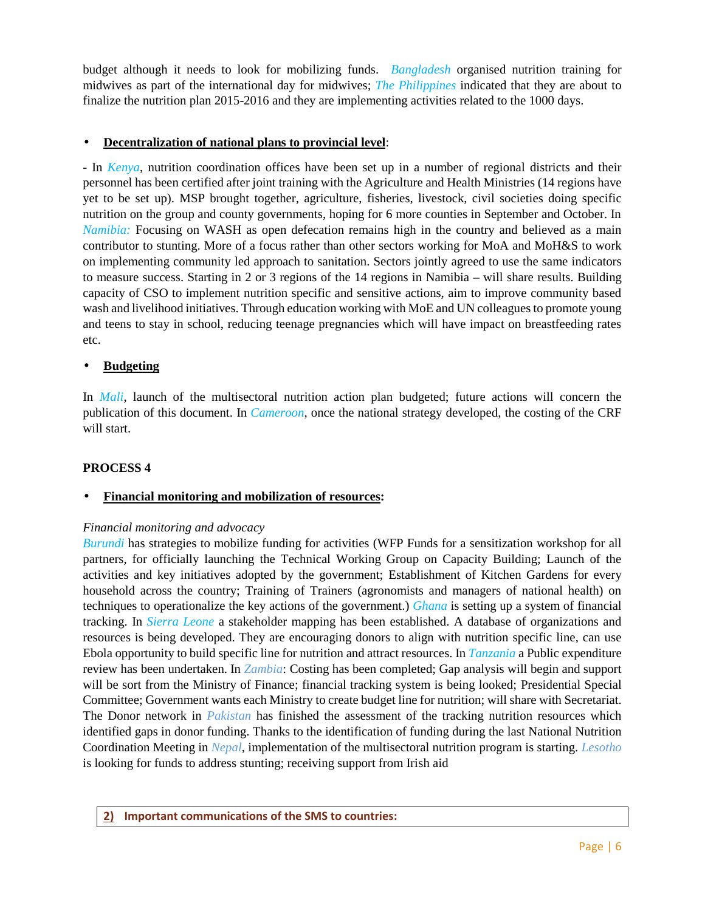budget although it needs to look for mobilizing funds. *Bangladesh* organised nutrition training for midwives as part of the international day for midwives; *The Philippines* indicated that they are about to finalize the nutrition plan 2015-2016 and they are implementing activities related to the 1000 days.

# **Decentralization of national plans to provincial level**:

- In *Kenya*, nutrition coordination offices have been set up in a number of regional districts and their personnel has been certified after joint training with the Agriculture and Health Ministries (14 regions have yet to be set up). MSP brought together, agriculture, fisheries, livestock, civil societies doing specific nutrition on the group and county governments, hoping for 6 more counties in September and October. In *Namibia:* Focusing on WASH as open defecation remains high in the country and believed as a main contributor to stunting. More of a focus rather than other sectors working for MoA and MoH&S to work on implementing community led approach to sanitation. Sectors jointly agreed to use the same indicators to measure success. Starting in 2 or 3 regions of the 14 regions in Namibia – will share results. Building capacity of CSO to implement nutrition specific and sensitive actions, aim to improve community based wash and livelihood initiatives. Through education working with MoE and UN colleagues to promote young and teens to stay in school, reducing teenage pregnancies which will have impact on breastfeeding rates etc.

# **Budgeting**

In *Mali*, launch of the multisectoral nutrition action plan budgeted; future actions will concern the publication of this document. In *Cameroon*, once the national strategy developed, the costing of the CRF will start.

# **PROCESS 4**

# **Financial monitoring and mobilization of resources:**

# *Financial monitoring and advocacy*

*Burundi* has strategies to mobilize funding for activities (WFP Funds for a sensitization workshop for all partners, for officially launching the Technical Working Group on Capacity Building; Launch of the activities and key initiatives adopted by the government; Establishment of Kitchen Gardens for every household across the country; Training of Trainers (agronomists and managers of national health) on techniques to operationalize the key actions of the government.) *Ghana* is setting up a system of financial tracking. In *Sierra Leone* a stakeholder mapping has been established. A database of organizations and resources is being developed. They are encouraging donors to align with nutrition specific line, can use Ebola opportunity to build specific line for nutrition and attract resources. In *Tanzania* a Public expenditure review has been undertaken. In *Zambia*: Costing has been completed; Gap analysis will begin and support will be sort from the Ministry of Finance; financial tracking system is being looked; Presidential Special Committee; Government wants each Ministry to create budget line for nutrition; will share with Secretariat. The Donor network in *Pakistan* has finished the assessment of the tracking nutrition resources which identified gaps in donor funding. Thanks to the identification of funding during the last National Nutrition Coordination Meeting in *Nepal*, implementation of the multisectoral nutrition program is starting. *Lesotho* is looking for funds to address stunting; receiving support from Irish aid